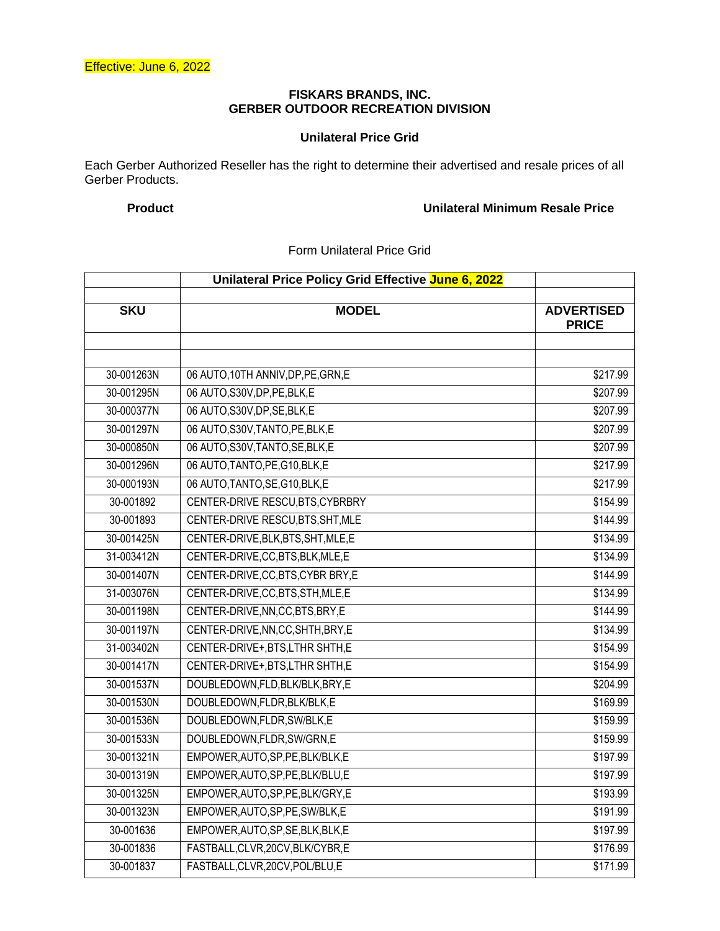### **FISKARS BRANDS, INC. GERBER OUTDOOR RECREATION DIVISION**

## **Unilateral Price Grid**

Each Gerber Authorized Reseller has the right to determine their advertised and resale prices of all Gerber Products.

# **Product Unilateral Minimum Resale Price**

## Form Unilateral Price Grid

|            | Unilateral Price Policy Grid Effective June 6, 2022 |                                   |
|------------|-----------------------------------------------------|-----------------------------------|
| <b>SKU</b> | <b>MODEL</b>                                        | <b>ADVERTISED</b><br><b>PRICE</b> |
|            |                                                     |                                   |
| 30-001263N | 06 AUTO, 10TH ANNIV, DP, PE, GRN, E                 | \$217.99                          |
| 30-001295N | 06 AUTO, S30V, DP, PE, BLK, E                       | \$207.99                          |
| 30-000377N | 06 AUTO, S30V, DP, SE, BLK, E                       | \$207.99                          |
| 30-001297N | 06 AUTO, S30V, TANTO, PE, BLK, E                    | \$207.99                          |
| 30-000850N | 06 AUTO, S30V, TANTO, SE, BLK, E                    | \$207.99                          |
| 30-001296N | 06 AUTO, TANTO, PE, G10, BLK, E                     | \$217.99                          |
| 30-000193N | 06 AUTO, TANTO, SE, G10, BLK, E                     | \$217.99                          |
| 30-001892  | CENTER-DRIVE RESCU, BTS, CYBRBRY                    | \$154.99                          |
| 30-001893  | CENTER-DRIVE RESCU, BTS, SHT, MLE                   | \$144.99                          |
| 30-001425N | CENTER-DRIVE, BLK, BTS, SHT, MLE, E                 | \$134.99                          |
| 31-003412N | CENTER-DRIVE, CC, BTS, BLK, MLE, E                  | \$134.99                          |
| 30-001407N | CENTER-DRIVE, CC, BTS, CYBR BRY, E                  | \$144.99                          |
| 31-003076N | CENTER-DRIVE, CC, BTS, STH, MLE, E                  | \$134.99                          |
| 30-001198N | CENTER-DRIVE, NN, CC, BTS, BRY, E                   | \$144.99                          |
| 30-001197N | CENTER-DRIVE, NN, CC, SHTH, BRY, E                  | \$134.99                          |
| 31-003402N | CENTER-DRIVE+, BTS, LTHR SHTH, E                    | \$154.99                          |
| 30-001417N | CENTER-DRIVE+, BTS, LTHR SHTH, E                    | \$154.99                          |
| 30-001537N | DOUBLEDOWN,FLD,BLK/BLK,BRY,E                        | \$204.99                          |
| 30-001530N | DOUBLEDOWN,FLDR,BLK/BLK,E                           | \$169.99                          |
| 30-001536N | DOUBLEDOWN, FLDR, SW/BLK, E                         | \$159.99                          |
| 30-001533N | DOUBLEDOWN,FLDR,SW/GRN,E                            | \$159.99                          |
| 30-001321N | EMPOWER, AUTO, SP, PE, BLK/BLK, E                   | \$197.99                          |
| 30-001319N | EMPOWER, AUTO, SP, PE, BLK/BLU, E                   | \$197.99                          |
| 30-001325N | EMPOWER, AUTO, SP, PE, BLK/GRY, E                   | \$193.99                          |
| 30-001323N | EMPOWER, AUTO, SP, PE, SW/BLK, E                    | \$191.99                          |
| 30-001636  | EMPOWER, AUTO, SP, SE, BLK, BLK, E                  | \$197.99                          |
| 30-001836  | FASTBALL, CLVR, 20CV, BLK/CYBR, E                   | \$176.99                          |
| 30-001837  | FASTBALL, CLVR, 20CV, POL/BLU, E                    | \$171.99                          |